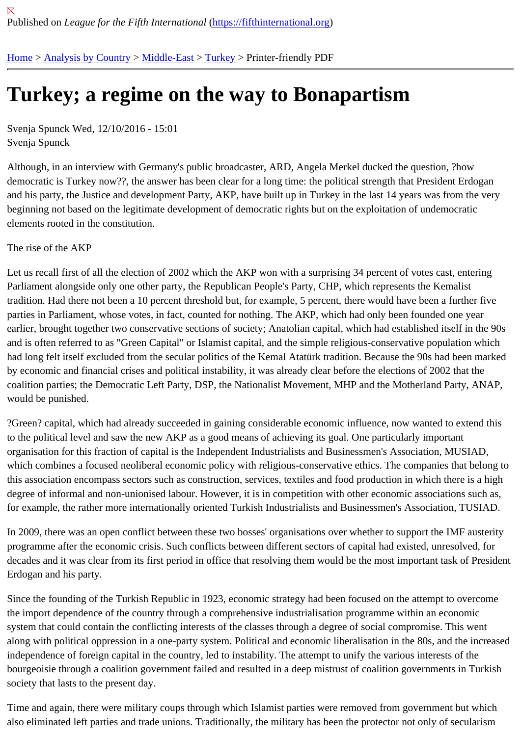# [Tur](https://fifthinternational.org/)[key; a reg](https://fifthinternational.org/category/1)i[me on](https://fifthinternational.org/category/1/178) [the w](https://fifthinternational.org/category/1/178/174)ay to Bonapartism

Svenja Spunck Wed, 12/10/2016 - 15:01 Svenja Spunck

Although, in an interview with Germany's public broadcaster, ARD, Angela Merkel ducked the question, ?how democratic is Turkey now??, the answer has been clear for a long time: the political strength that President Erdog and his party, the Justice and development Party, AKP, have built up in Turkey in the last 14 years was from the v beginning not based on the legitimate development of democratic rights but on the exploitation of undemocratic elements rooted in the constitution.

## The rise of the AKP

Let us recall first of all the election of 2002 which the AKP won with a surprising 34 percent of votes cast, entering Parliament alongside only one other party, the Republican People's Party, CHP, which represents the Kemalist tradition. Had there not been a 10 percent threshold but, for example, 5 percent, there would have been a further f parties in Parliament, whose votes, in fact, counted for nothing. The AKP, which had only been founded one year earlier, brought together two conservative sections of society; Anatolian capital, which had established itself in the and is often referred to as "Green Capital" or Islamist capital, and the simple religious-conservative population whi had long felt itself excluded from the secular politics of the Kemal Atatürk tradition. Because the 90s had been mai by economic and financial crises and political instability, it was already clear before the elections of 2002 that the coalition parties; the Democratic Left Party, DSP, the Nationalist Movement, MHP and the Motherland Party, ANAI would be punished.

?Green? capital, which had already succeeded in gaining considerable economic influence, now wanted to extend to the political level and saw the new AKP as a good means of achieving its goal. One particularly important organisation for this fraction of capital is the Independent Industrialists and Businessmen's Association, MUSIAD, which combines a focused neoliberal economic policy with religious-conservative ethics. The companies that beloi this association encompass sectors such as construction, services, textiles and food production in which there is a degree of informal and non-unionised labour. However, it is in competition with other economic associations such for example, the rather more internationally oriented Turkish Industrialists and Businessmen's Association, TUSIAI

In 2009, there was an open conflict between these two bosses' organisations over whether to support the IMF aus programme after the economic crisis. Such conflicts between different sectors of capital had existed, unresolved, f decades and it was clear from its first period in office that resolving them would be the most important task of Pres Erdogan and his party.

Since the founding of the Turkish Republic in 1923, economic strategy had been focused on the attempt to overco the import dependence of the country through a comprehensive industrialisation programme within an economic system that could contain the conflicting interests of the classes through a degree of social compromise. This wen along with political oppression in a one-party system. Political and economic liberalisation in the 80s, and the incre independence of foreign capital in the country, led to instability. The attempt to unify the various interests of the bourgeoisie through a coalition government failed and resulted in a deep mistrust of coalition governments in Turk society that lasts to the present day.

Time and again, there were military coups through which Islamist parties were removed from government but which also eliminated left parties and trade unions. Traditionally, the military has been the protector not only of secularisr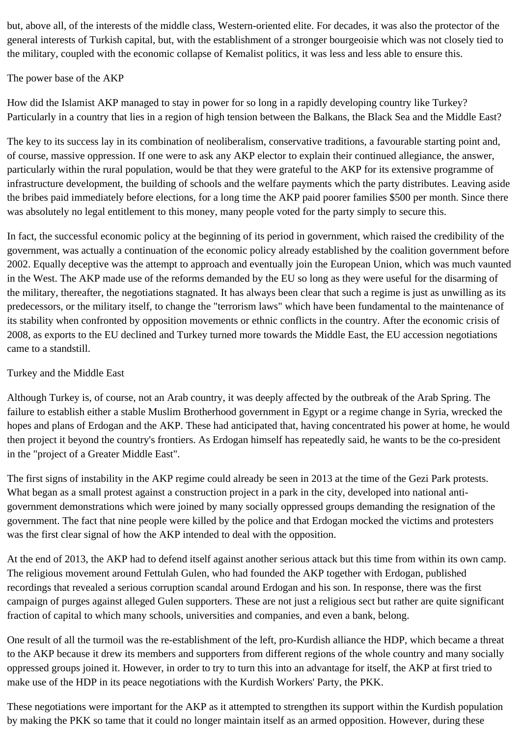but, above all, of the interests of the middle class, Western-oriented elite. For decades, it was also the protector of the general interests of Turkish capital, but, with the establishment of a stronger bourgeoisie which was not closely tied to the military, coupled with the economic collapse of Kemalist politics, it was less and less able to ensure this.

### The power base of the AKP

How did the Islamist AKP managed to stay in power for so long in a rapidly developing country like Turkey? Particularly in a country that lies in a region of high tension between the Balkans, the Black Sea and the Middle East?

The key to its success lay in its combination of neoliberalism, conservative traditions, a favourable starting point and, of course, massive oppression. If one were to ask any AKP elector to explain their continued allegiance, the answer, particularly within the rural population, would be that they were grateful to the AKP for its extensive programme of infrastructure development, the building of schools and the welfare payments which the party distributes. Leaving aside the bribes paid immediately before elections, for a long time the AKP paid poorer families \$500 per month. Since there was absolutely no legal entitlement to this money, many people voted for the party simply to secure this.

In fact, the successful economic policy at the beginning of its period in government, which raised the credibility of the government, was actually a continuation of the economic policy already established by the coalition government before 2002. Equally deceptive was the attempt to approach and eventually join the European Union, which was much vaunted in the West. The AKP made use of the reforms demanded by the EU so long as they were useful for the disarming of the military, thereafter, the negotiations stagnated. It has always been clear that such a regime is just as unwilling as its predecessors, or the military itself, to change the "terrorism laws" which have been fundamental to the maintenance of its stability when confronted by opposition movements or ethnic conflicts in the country. After the economic crisis of 2008, as exports to the EU declined and Turkey turned more towards the Middle East, the EU accession negotiations came to a standstill.

### Turkey and the Middle East

Although Turkey is, of course, not an Arab country, it was deeply affected by the outbreak of the Arab Spring. The failure to establish either a stable Muslim Brotherhood government in Egypt or a regime change in Syria, wrecked the hopes and plans of Erdogan and the AKP. These had anticipated that, having concentrated his power at home, he would then project it beyond the country's frontiers. As Erdogan himself has repeatedly said, he wants to be the co-president in the "project of a Greater Middle East".

The first signs of instability in the AKP regime could already be seen in 2013 at the time of the Gezi Park protests. What began as a small protest against a construction project in a park in the city, developed into national antigovernment demonstrations which were joined by many socially oppressed groups demanding the resignation of the government. The fact that nine people were killed by the police and that Erdogan mocked the victims and protesters was the first clear signal of how the AKP intended to deal with the opposition.

At the end of 2013, the AKP had to defend itself against another serious attack but this time from within its own camp. The religious movement around Fettulah Gulen, who had founded the AKP together with Erdogan, published recordings that revealed a serious corruption scandal around Erdogan and his son. In response, there was the first campaign of purges against alleged Gulen supporters. These are not just a religious sect but rather are quite significant fraction of capital to which many schools, universities and companies, and even a bank, belong.

One result of all the turmoil was the re-establishment of the left, pro-Kurdish alliance the HDP, which became a threat to the AKP because it drew its members and supporters from different regions of the whole country and many socially oppressed groups joined it. However, in order to try to turn this into an advantage for itself, the AKP at first tried to make use of the HDP in its peace negotiations with the Kurdish Workers' Party, the PKK.

These negotiations were important for the AKP as it attempted to strengthen its support within the Kurdish population by making the PKK so tame that it could no longer maintain itself as an armed opposition. However, during these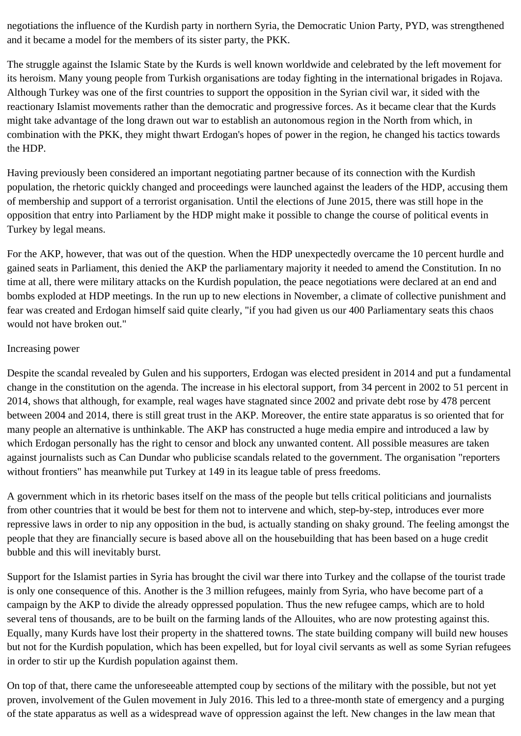negotiations the influence of the Kurdish party in northern Syria, the Democratic Union Party, PYD, was strengthened and it became a model for the members of its sister party, the PKK.

The struggle against the Islamic State by the Kurds is well known worldwide and celebrated by the left movement for its heroism. Many young people from Turkish organisations are today fighting in the international brigades in Rojava. Although Turkey was one of the first countries to support the opposition in the Syrian civil war, it sided with the reactionary Islamist movements rather than the democratic and progressive forces. As it became clear that the Kurds might take advantage of the long drawn out war to establish an autonomous region in the North from which, in combination with the PKK, they might thwart Erdogan's hopes of power in the region, he changed his tactics towards the HDP.

Having previously been considered an important negotiating partner because of its connection with the Kurdish population, the rhetoric quickly changed and proceedings were launched against the leaders of the HDP, accusing them of membership and support of a terrorist organisation. Until the elections of June 2015, there was still hope in the opposition that entry into Parliament by the HDP might make it possible to change the course of political events in Turkey by legal means.

For the AKP, however, that was out of the question. When the HDP unexpectedly overcame the 10 percent hurdle and gained seats in Parliament, this denied the AKP the parliamentary majority it needed to amend the Constitution. In no time at all, there were military attacks on the Kurdish population, the peace negotiations were declared at an end and bombs exploded at HDP meetings. In the run up to new elections in November, a climate of collective punishment and fear was created and Erdogan himself said quite clearly, "if you had given us our 400 Parliamentary seats this chaos would not have broken out."

#### Increasing power

Despite the scandal revealed by Gulen and his supporters, Erdogan was elected president in 2014 and put a fundamental change in the constitution on the agenda. The increase in his electoral support, from 34 percent in 2002 to 51 percent in 2014, shows that although, for example, real wages have stagnated since 2002 and private debt rose by 478 percent between 2004 and 2014, there is still great trust in the AKP. Moreover, the entire state apparatus is so oriented that for many people an alternative is unthinkable. The AKP has constructed a huge media empire and introduced a law by which Erdogan personally has the right to censor and block any unwanted content. All possible measures are taken against journalists such as Can Dundar who publicise scandals related to the government. The organisation "reporters without frontiers" has meanwhile put Turkey at 149 in its league table of press freedoms.

A government which in its rhetoric bases itself on the mass of the people but tells critical politicians and journalists from other countries that it would be best for them not to intervene and which, step-by-step, introduces ever more repressive laws in order to nip any opposition in the bud, is actually standing on shaky ground. The feeling amongst the people that they are financially secure is based above all on the housebuilding that has been based on a huge credit bubble and this will inevitably burst.

Support for the Islamist parties in Syria has brought the civil war there into Turkey and the collapse of the tourist trade is only one consequence of this. Another is the 3 million refugees, mainly from Syria, who have become part of a campaign by the AKP to divide the already oppressed population. Thus the new refugee camps, which are to hold several tens of thousands, are to be built on the farming lands of the Allouites, who are now protesting against this. Equally, many Kurds have lost their property in the shattered towns. The state building company will build new houses but not for the Kurdish population, which has been expelled, but for loyal civil servants as well as some Syrian refugees in order to stir up the Kurdish population against them.

On top of that, there came the unforeseeable attempted coup by sections of the military with the possible, but not yet proven, involvement of the Gulen movement in July 2016. This led to a three-month state of emergency and a purging of the state apparatus as well as a widespread wave of oppression against the left. New changes in the law mean that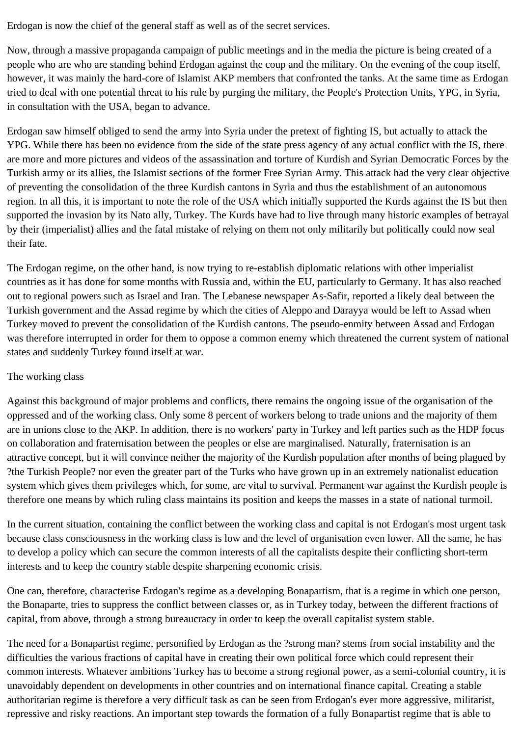Erdogan is now the chief of the general staff as well as of the secret services.

Now, through a massive propaganda campaign of public meetings and in the media the picture is being created of a people who are who are standing behind Erdogan against the coup and the military. On the evening of the coup itself, however, it was mainly the hard-core of Islamist AKP members that confronted the tanks. At the same time as Erdogan tried to deal with one potential threat to his rule by purging the military, the People's Protection Units, YPG, in Syria, in consultation with the USA, began to advance.

Erdogan saw himself obliged to send the army into Syria under the pretext of fighting IS, but actually to attack the YPG. While there has been no evidence from the side of the state press agency of any actual conflict with the IS, there are more and more pictures and videos of the assassination and torture of Kurdish and Syrian Democratic Forces by the Turkish army or its allies, the Islamist sections of the former Free Syrian Army. This attack had the very clear objective of preventing the consolidation of the three Kurdish cantons in Syria and thus the establishment of an autonomous region. In all this, it is important to note the role of the USA which initially supported the Kurds against the IS but then supported the invasion by its Nato ally, Turkey. The Kurds have had to live through many historic examples of betrayal by their (imperialist) allies and the fatal mistake of relying on them not only militarily but politically could now seal their fate.

The Erdogan regime, on the other hand, is now trying to re-establish diplomatic relations with other imperialist countries as it has done for some months with Russia and, within the EU, particularly to Germany. It has also reached out to regional powers such as Israel and Iran. The Lebanese newspaper As-Safir, reported a likely deal between the Turkish government and the Assad regime by which the cities of Aleppo and Darayya would be left to Assad when Turkey moved to prevent the consolidation of the Kurdish cantons. The pseudo-enmity between Assad and Erdogan was therefore interrupted in order for them to oppose a common enemy which threatened the current system of national states and suddenly Turkey found itself at war.

## The working class

Against this background of major problems and conflicts, there remains the ongoing issue of the organisation of the oppressed and of the working class. Only some 8 percent of workers belong to trade unions and the majority of them are in unions close to the AKP. In addition, there is no workers' party in Turkey and left parties such as the HDP focus on collaboration and fraternisation between the peoples or else are marginalised. Naturally, fraternisation is an attractive concept, but it will convince neither the majority of the Kurdish population after months of being plagued by ?the Turkish People? nor even the greater part of the Turks who have grown up in an extremely nationalist education system which gives them privileges which, for some, are vital to survival. Permanent war against the Kurdish people is therefore one means by which ruling class maintains its position and keeps the masses in a state of national turmoil.

In the current situation, containing the conflict between the working class and capital is not Erdogan's most urgent task because class consciousness in the working class is low and the level of organisation even lower. All the same, he has to develop a policy which can secure the common interests of all the capitalists despite their conflicting short-term interests and to keep the country stable despite sharpening economic crisis.

One can, therefore, characterise Erdogan's regime as a developing Bonapartism, that is a regime in which one person, the Bonaparte, tries to suppress the conflict between classes or, as in Turkey today, between the different fractions of capital, from above, through a strong bureaucracy in order to keep the overall capitalist system stable.

The need for a Bonapartist regime, personified by Erdogan as the ?strong man? stems from social instability and the difficulties the various fractions of capital have in creating their own political force which could represent their common interests. Whatever ambitions Turkey has to become a strong regional power, as a semi-colonial country, it is unavoidably dependent on developments in other countries and on international finance capital. Creating a stable authoritarian regime is therefore a very difficult task as can be seen from Erdogan's ever more aggressive, militarist, repressive and risky reactions. An important step towards the formation of a fully Bonapartist regime that is able to